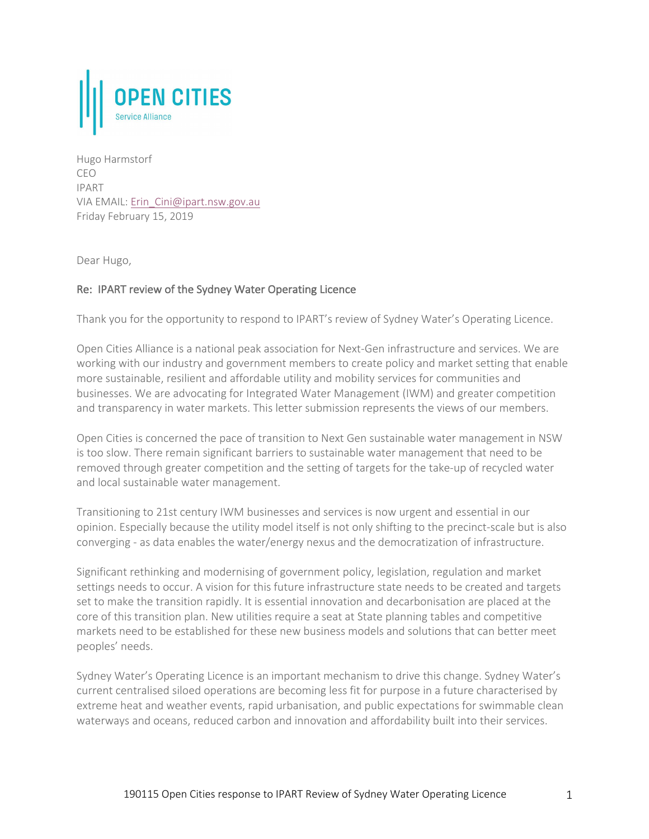

Hugo Harmstorf CEO IPART VIA EMAIL: Erin\_Cini@ipart.nsw.gov.au Friday February 15, 2019

Dear Hugo,

# Re: IPART review of the Sydney Water Operating Licence

Thank you for the opportunity to respond to IPART's review of Sydney Water's Operating Licence.

Open Cities Alliance is a national peak association for Next-Gen infrastructure and services. We are working with our industry and government members to create policy and market setting that enable more sustainable, resilient and affordable utility and mobility services for communities and businesses. We are advocating for Integrated Water Management (IWM) and greater competition and transparency in water markets. This letter submission represents the views of our members.

Open Cities is concerned the pace of transition to Next Gen sustainable water management in NSW is too slow. There remain significant barriers to sustainable water management that need to be removed through greater competition and the setting of targets for the take-up of recycled water and local sustainable water management.

Transitioning to 21st century IWM businesses and services is now urgent and essential in our opinion. Especially because the utility model itself is not only shifting to the precinct-scale but is also converging - as data enables the water/energy nexus and the democratization of infrastructure.

Significant rethinking and modernising of government policy, legislation, regulation and market settings needs to occur. A vision for this future infrastructure state needs to be created and targets set to make the transition rapidly. It is essential innovation and decarbonisation are placed at the core of this transition plan. New utilities require a seat at State planning tables and competitive markets need to be established for these new business models and solutions that can better meet peoples' needs.

Sydney Water's Operating Licence is an important mechanism to drive this change. Sydney Water's current centralised siloed operations are becoming less fit for purpose in a future characterised by extreme heat and weather events, rapid urbanisation, and public expectations for swimmable clean waterways and oceans, reduced carbon and innovation and affordability built into their services.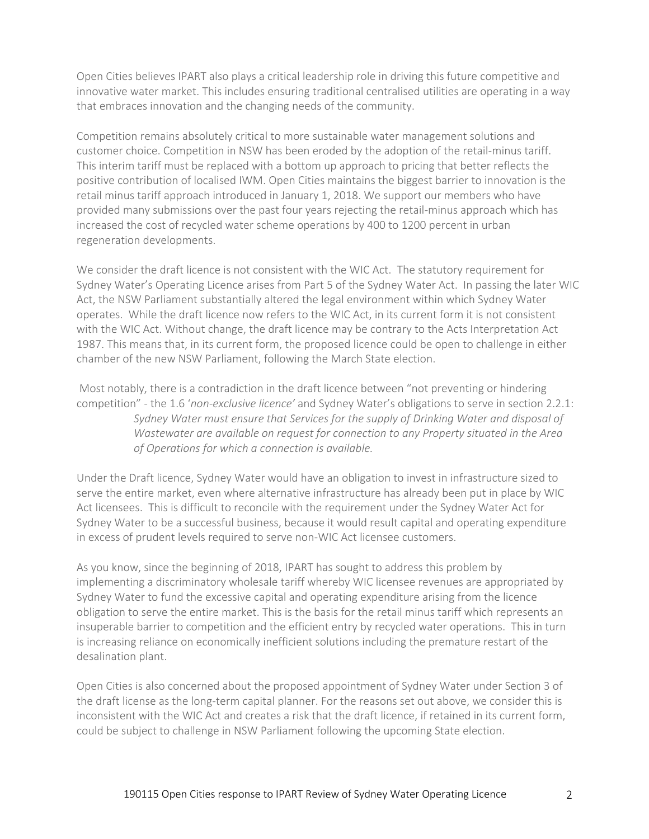Open Cities believes IPART also plays a critical leadership role in driving this future competitive and innovative water market. This includes ensuring traditional centralised utilities are operating in a way that embraces innovation and the changing needs of the community.

Competition remains absolutely critical to more sustainable water management solutions and customer choice. Competition in NSW has been eroded by the adoption of the retail-minus tariff. This interim tariff must be replaced with a bottom up approach to pricing that better reflects the positive contribution of localised IWM. Open Cities maintains the biggest barrier to innovation is the retail minus tariff approach introduced in January 1, 2018. We support our members who have provided many submissions over the past four years rejecting the retail-minus approach which has increased the cost of recycled water scheme operations by 400 to 1200 percent in urban regeneration developments.

We consider the draft licence is not consistent with the WIC Act. The statutory requirement for Sydney Water's Operating Licence arises from Part 5 of the Sydney Water Act. In passing the later WIC Act, the NSW Parliament substantially altered the legal environment within which Sydney Water operates. While the draft licence now refers to the WIC Act, in its current form it is not consistent with the WIC Act. Without change, the draft licence may be contrary to the Acts Interpretation Act 1987. This means that, in its current form, the proposed licence could be open to challenge in either chamber of the new NSW Parliament, following the March State election.

Most notably, there is a contradiction in the draft licence between "not preventing or hindering competition" - the 1.6 '*non-exclusive licence'* and Sydney Water's obligations to serve in section 2.2.1: *Sydney Water must ensure that Services for the supply of Drinking Water and disposal of Wastewater are available on request for connection to any Property situated in the Area of Operations for which a connection is available.*

Under the Draft licence, Sydney Water would have an obligation to invest in infrastructure sized to serve the entire market, even where alternative infrastructure has already been put in place by WIC Act licensees. This is difficult to reconcile with the requirement under the Sydney Water Act for Sydney Water to be a successful business, because it would result capital and operating expenditure in excess of prudent levels required to serve non-WIC Act licensee customers.

As you know, since the beginning of 2018, IPART has sought to address this problem by implementing a discriminatory wholesale tariff whereby WIC licensee revenues are appropriated by Sydney Water to fund the excessive capital and operating expenditure arising from the licence obligation to serve the entire market. This is the basis for the retail minus tariff which represents an insuperable barrier to competition and the efficient entry by recycled water operations. This in turn is increasing reliance on economically inefficient solutions including the premature restart of the desalination plant.

Open Cities is also concerned about the proposed appointment of Sydney Water under Section 3 of the draft license as the long-term capital planner. For the reasons set out above, we consider this is inconsistent with the WIC Act and creates a risk that the draft licence, if retained in its current form, could be subject to challenge in NSW Parliament following the upcoming State election.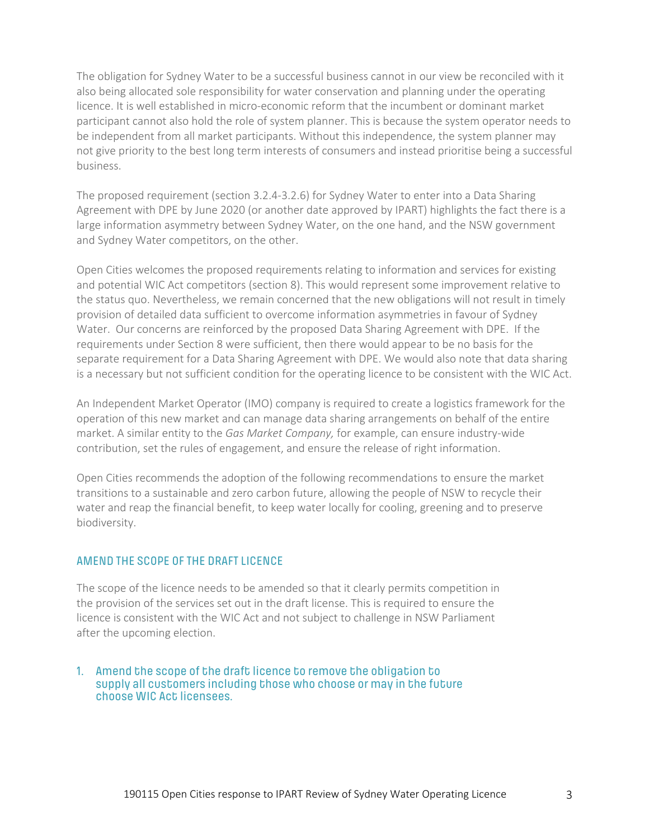The obligation for Sydney Water to be a successful business cannot in our view be reconciled with it also being allocated sole responsibility for water conservation and planning under the operating licence. It is well established in micro-economic reform that the incumbent or dominant market participant cannot also hold the role of system planner. This is because the system operator needs to be independent from all market participants. Without this independence, the system planner may not give priority to the best long term interests of consumers and instead prioritise being a successful business.

The proposed requirement (section 3.2.4-3.2.6) for Sydney Water to enter into a Data Sharing Agreement with DPE by June 2020 (or another date approved by IPART) highlights the fact there is a large information asymmetry between Sydney Water, on the one hand, and the NSW government and Sydney Water competitors, on the other.

Open Cities welcomes the proposed requirements relating to information and services for existing and potential WIC Act competitors (section 8). This would represent some improvement relative to the status quo. Nevertheless, we remain concerned that the new obligations will not result in timely provision of detailed data sufficient to overcome information asymmetries in favour of Sydney Water. Our concerns are reinforced by the proposed Data Sharing Agreement with DPE. If the requirements under Section 8 were sufficient, then there would appear to be no basis for the separate requirement for a Data Sharing Agreement with DPE. We would also note that data sharing is a necessary but not sufficient condition for the operating licence to be consistent with the WIC Act.

An Independent Market Operator (IMO) company is required to create a logistics framework for the operation of this new market and can manage data sharing arrangements on behalf of the entire market. A similar entity to the *Gas Market Company,* for example, can ensure industry-wide contribution, set the rules of engagement, and ensure the release of right information.

Open Cities recommends the adoption of the following recommendations to ensure the market transitions to a sustainable and zero carbon future, allowing the people of NSW to recycle their water and reap the financial benefit, to keep water locally for cooling, greening and to preserve biodiversity.

## AMEND THE SCOPE OF THE DRAFT LICENCE

The scope of the licence needs to be amended so that it clearly permits competition in the provision of the services set out in the draft license. This is required to ensure the licence is consistent with the WIC Act and not subject to challenge in NSW Parliament after the upcoming election.

## 1. Amend the scope of the draft licence to remove the obligation to supply all customers including those who choose or may in the future choose WIC Act licensees.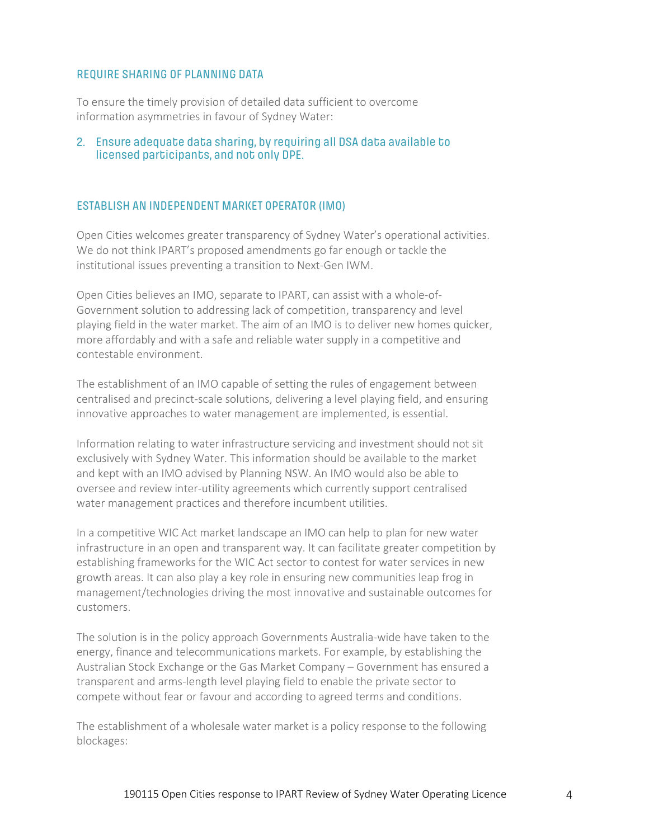#### REQUIRE SHARING OF PLANNING DATA

To ensure the timely provision of detailed data sufficient to overcome information asymmetries in favour of Sydney Water:

## 2. Ensure adequate data sharing, by requiring all DSA data available to licensed participants, and not only DPE.

# ESTABLISH AN INDEPENDENT MARKET OPERATOR (IMO)

Open Cities welcomes greater transparency of Sydney Water's operational activities. We do not think IPART's proposed amendments go far enough or tackle the institutional issues preventing a transition to Next-Gen IWM.

Open Cities believes an IMO, separate to IPART, can assist with a whole-of-Government solution to addressing lack of competition, transparency and level playing field in the water market. The aim of an IMO is to deliver new homes quicker, more affordably and with a safe and reliable water supply in a competitive and contestable environment.

The establishment of an IMO capable of setting the rules of engagement between centralised and precinct-scale solutions, delivering a level playing field, and ensuring innovative approaches to water management are implemented, is essential.

Information relating to water infrastructure servicing and investment should not sit exclusively with Sydney Water. This information should be available to the market and kept with an IMO advised by Planning NSW. An IMO would also be able to oversee and review inter-utility agreements which currently support centralised water management practices and therefore incumbent utilities.

In a competitive WIC Act market landscape an IMO can help to plan for new water infrastructure in an open and transparent way. It can facilitate greater competition by establishing frameworks for the WIC Act sector to contest for water services in new growth areas. It can also play a key role in ensuring new communities leap frog in management/technologies driving the most innovative and sustainable outcomes for customers.

The solution is in the policy approach Governments Australia-wide have taken to the energy, finance and telecommunications markets. For example, by establishing the Australian Stock Exchange or the Gas Market Company – Government has ensured a transparent and arms-length level playing field to enable the private sector to compete without fear or favour and according to agreed terms and conditions.

The establishment of a wholesale water market is a policy response to the following blockages: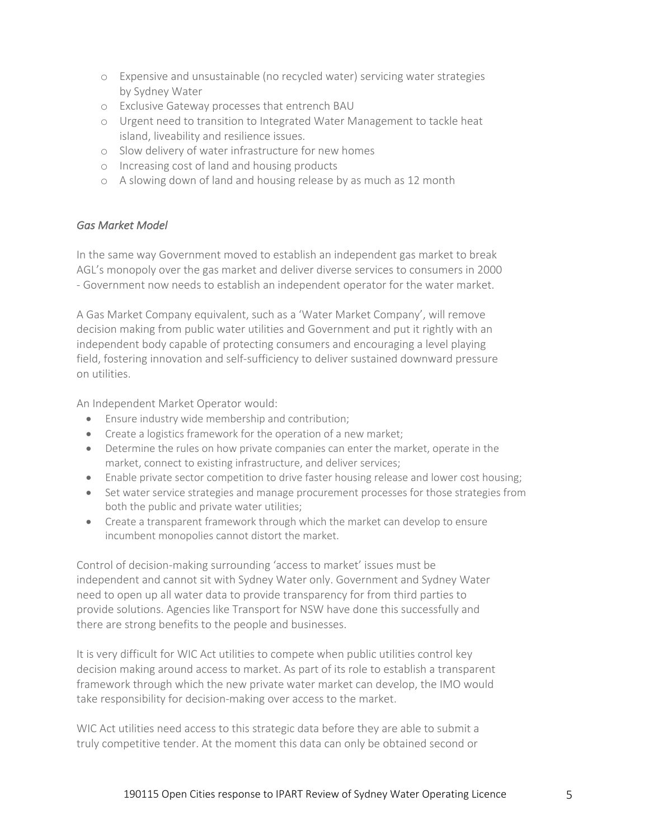- o Expensive and unsustainable (no recycled water) servicing water strategies by Sydney Water
- o Exclusive Gateway processes that entrench BAU
- o Urgent need to transition to Integrated Water Management to tackle heat island, liveability and resilience issues.
- o Slow delivery of water infrastructure for new homes
- o Increasing cost of land and housing products
- o A slowing down of land and housing release by as much as 12 month

# *Gas Market Model*

In the same way Government moved to establish an independent gas market to break AGL's monopoly over the gas market and deliver diverse services to consumers in 2000 - Government now needs to establish an independent operator for the water market.

A Gas Market Company equivalent, such as a 'Water Market Company', will remove decision making from public water utilities and Government and put it rightly with an independent body capable of protecting consumers and encouraging a level playing field, fostering innovation and self-sufficiency to deliver sustained downward pressure on utilities.

An Independent Market Operator would:

- Ensure industry wide membership and contribution;
- Create a logistics framework for the operation of a new market;
- Determine the rules on how private companies can enter the market, operate in the market, connect to existing infrastructure, and deliver services;
- Enable private sector competition to drive faster housing release and lower cost housing;
- Set water service strategies and manage procurement processes for those strategies from both the public and private water utilities;
- Create a transparent framework through which the market can develop to ensure incumbent monopolies cannot distort the market.

Control of decision-making surrounding 'access to market' issues must be independent and cannot sit with Sydney Water only. Government and Sydney Water need to open up all water data to provide transparency for from third parties to provide solutions. Agencies like Transport for NSW have done this successfully and there are strong benefits to the people and businesses.

It is very difficult for WIC Act utilities to compete when public utilities control key decision making around access to market. As part of its role to establish a transparent framework through which the new private water market can develop, the IMO would take responsibility for decision-making over access to the market.

WIC Act utilities need access to this strategic data before they are able to submit a truly competitive tender. At the moment this data can only be obtained second or